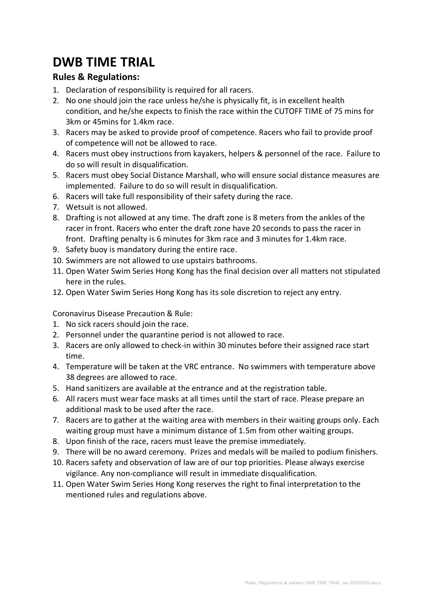## **DWB TIME TRIAL**

## **Rules & Regulations:**

- 1. Declaration of responsibility is required for all racers.
- 2. No one should join the race unless he/she is physically fit, is in excellent health condition, and he/she expects to finish the race within the CUTOFF TIME of 75 mins for 3km or 45mins for 1.4km race.
- 3. Racers may be asked to provide proof of competence. Racers who fail to provide proof of competence will not be allowed to race.
- 4. Racers must obey instructions from kayakers, helpers & personnel of the race. Failure to do so will result in disqualification.
- 5. Racers must obey Social Distance Marshall, who will ensure social distance measures are implemented. Failure to do so will result in disqualification.
- 6. Racers will take full responsibility of their safety during the race.
- 7. Wetsuit is not allowed.
- 8. Drafting is not allowed at any time. The draft zone is 8 meters from the ankles of the racer in front. Racers who enter the draft zone have 20 seconds to pass the racer in front. Drafting penalty is 6 minutes for 3km race and 3 minutes for 1.4km race.
- 9. Safety buoy is mandatory during the entire race.
- 10. Swimmers are not allowed to use upstairs bathrooms.
- 11. Open Water Swim Series Hong Kong has the final decision over all matters not stipulated here in the rules.
- 12. Open Water Swim Series Hong Kong has its sole discretion to reject any entry.

Coronavirus Disease Precaution & Rule:

- 1. No sick racers should join the race.
- 2. Personnel under the quarantine period is not allowed to race.
- 3. Racers are only allowed to check-in within 30 minutes before their assigned race start time.
- 4. Temperature will be taken at the VRC entrance. No swimmers with temperature above 38 degrees are allowed to race.
- 5. Hand sanitizers are available at the entrance and at the registration table.
- 6. All racers must wear face masks at all times until the start of race. Please prepare an additional mask to be used after the race.
- 7. Racers are to gather at the waiting area with members in their waiting groups only. Each waiting group must have a minimum distance of 1.5m from other waiting groups.
- 8. Upon finish of the race, racers must leave the premise immediately.
- 9. There will be no award ceremony. Prizes and medals will be mailed to podium finishers.
- 10. Racers safety and observation of law are of our top priorities. Please always exercise vigilance. Any non-compliance will result in immediate disqualification.
- 11. Open Water Swim Series Hong Kong reserves the right to final interpretation to the mentioned rules and regulations above.